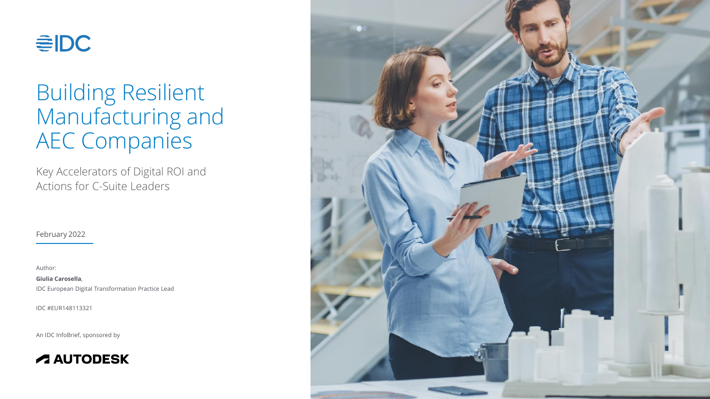An IDC InfoBrief, sponsored by





Author:

**Giulia Carosella**, IDC European Digital Transformation Practice Lead

IDC #EUR148113321



# Building Resilient Manufacturing and AEC Companies

Key Accelerators of Digital ROI and Actions for C-Suite Leaders

February 2022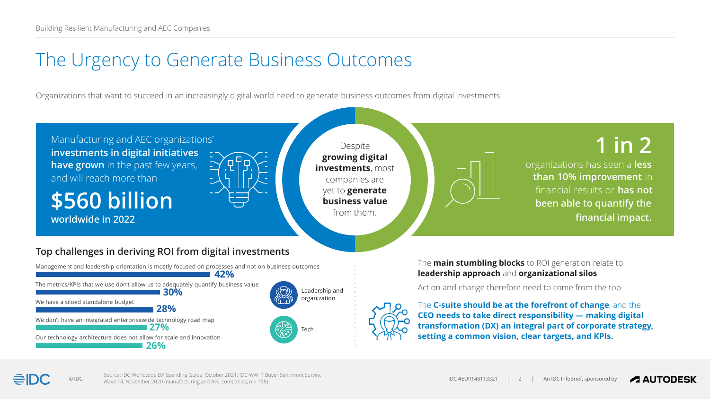Management and leadership orientation is mostly focused on processes and not on business outcomes

© IDC  $\longrightarrow$  Wave 14, November 2020 (manufacturing and AEC companies, n = 158) IDC #EUR148113321 Provides and AEC companies, n = 158) Source: IDC Worldwide DX Spending Guide, October 2021; IDC WW IT Buyer Sentiment Survey,

# The Urgency to Generate Business Outcomes

Manufacturing and AEC organizations' **investments in digital initiatives have grown** in the past few years, and will reach more than

**\$560 billion worldwide in 2022**.









Despite **growing digital investments**, most companies are yet to **generate business value** from them.

## **Top challenges in deriving ROI from digital investments**

Organizations that want to succeed in an increasingly digital world need to generate business outcomes from digital investments.

The **main stumbling blocks** to ROI generation relate to **leadership approach** and **organizational silos**.

Action and change therefore need to come from the top.

The **C-suite should be at the forefront of change**, and the **CEO needs to take direct responsibility — making digital transformation (DX) an integral part of corporate strategy, setting a common vision, clear targets, and KPIs.**

**A AUTODESK**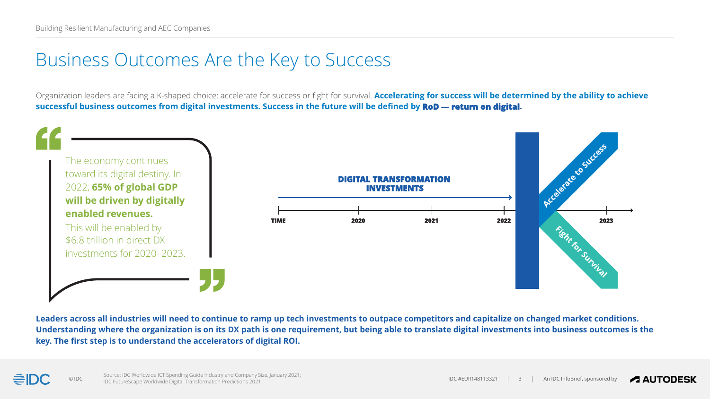# Business Outcomes Are the Key to Success

Organization leaders are facing a K-shaped choice: accelerate for success or fight for survival. **Accelerating for success will be determined by the ability to achieve** successful business outcomes from digital investments. Success in the future will be defined by RoD - return on digital.

Leaders across all industries will need to continue to ramp up tech investments to outpace competitors and capitalize on changed market conditions. Understanding where the organization is on its DX path is one requirement, but being able to translate digital investments into business outcomes is the **key. The first step is to understand the accelerators of digital ROI.**



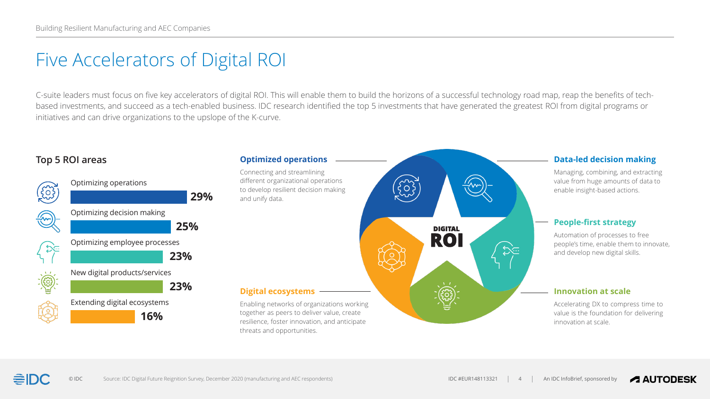# Five Accelerators of Digital ROI

C-suite leaders must focus on five key accelerators of digital ROI. This will enable them to build the horizons of a successful technology road map, reap the benefits of techbased investments, and succeed as a tech-enabled business. IDC research identified the top 5 investments that have generated the greatest ROI from digital programs or initiatives and can drive organizations to the upslope of the K-curve.

## **Optimized operations**

Connecting and streamlining different organizational operations to develop resilient decision making and unify data.

### **Innovation at scale**

Accelerating DX to compress time to value is the foundation for delivering innovation at scale.



## **Data-led decision making**

Managing, combining, and extracting value from huge amounts of data to enable insight-based actions.

### **People-first strategy**

Automation of processes to free people's time, enable them to innovate, and develop new digital skills.

## **Digital ecosystems**

Enabling networks of organizations working together as peers to deliver value, create resilience, foster innovation, and anticipate threats and opportunities.

## **Top 5 ROI areas**



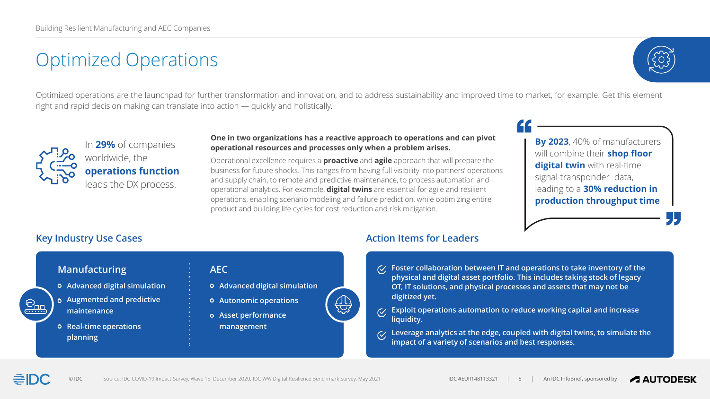# Optimized Operations

Optimized operations are the launchpad for further transformation and innovation, and to address sustainability and improved time to market, for example. Get this element right and rapid decision making can translate into action — quickly and holistically.



### **One in two organizations has a reactive approach to operations and can pivot operational resources and processes only when a problem arises.**

Operational excellence requires a **proactive** and **agile** approach that will prepare the business for future shocks. This ranges from having full visibility into partners' operations and supply chain, to remote and predictive maintenance, to process automation and operational analytics. For example, **digital twins** are essential for agile and resilient operations, enabling scenario modeling and failure prediction, while optimizing entire product and building life cycles for cost reduction and risk mitigation.

253



## **Manufacturing 1. AEC**

## **Key Industry Use Cases Action Items for Leaders**

**By 2023**, 40% of manufacturers will combine their **shop floor digital twin** with real-time signal transponder data, leading to a **30% reduction in production throughput time**



- **• Advanced digital simulation**
- **• Augmented and predictive maintenance**
- **• Real-time operations planning**

- **• Advanced digital simulation**
- **• Autonomic operations**
- **• Asset performance management**

**Foster collaboration between IT and operations to take inventory of the physical and digital asset portfolio. This includes taking stock of legacy OT, IT solutions, and physical processes and assets that may not be digitized yet. Exploit operations automation to reduce working capital and increase liquidity. Leverage analytics at the edge, coupled with digital twins, to simulate the impact of a variety of scenarios and best responses.**





In **29%** of companies worldwide, the **operations function**  leads the DX process.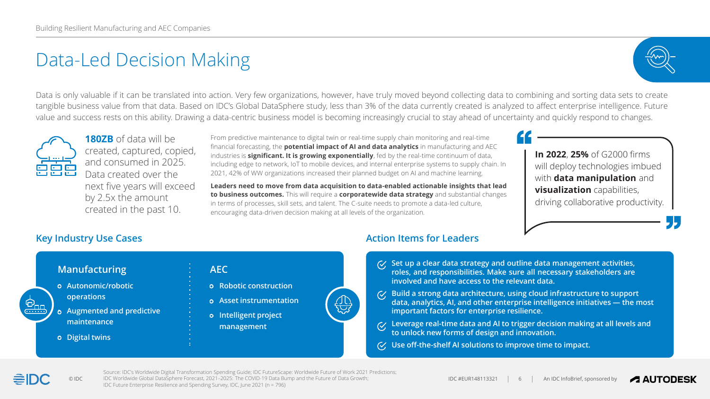# Data-Led Decision Making

Data is only valuable if it can be translated into action. Very few organizations, however, have truly moved beyond collecting data to combining and sorting data sets to create tangible business value from that data. Based on IDC's Global DataSphere study, less than 3% of the data currently created is analyzed to affect enterprise intelligence. Future value and success rests on this ability. Drawing a data-centric business model is becoming increasingly crucial to stay ahead of uncertainty and quickly respond to changes.



From predictive maintenance to digital twin or real-time supply chain monitoring and real-time financial forecasting, the **potential impact of AI and data analytics** in manufacturing and AEC industries is **significant. It is growing exponentially**, fed by the real-time continuum of data, including edge to network, IoT to mobile devices, and internal enterprise systems to supply chain. In 2021, 42% of WW organizations increased their planned budget on AI and machine learning.

**Leaders need to move from data acquisition to data-enabled actionable insights that lead to business outcomes.** This will require a **corporatewide data strategy** and substantial changes in terms of processes, skill sets, and talent. The C-suite needs to promote a data-led culture, encouraging data-driven decision making at all levels of the organization.

© IDC Morldwide Global DataSphere Forecast, 2021–2025: The COVID-19 Data Bump and the Future of Data Growth; Mather Annough An IDC #EUR148113321 1 An IDC InfoBrief, sponsored by Source: IDC's Worldwide Digital Transformation Spending Guide; IDC FutureScape: Worldwide Future of Work 2021 Predictions; IDC Future Enterprise Resilience and Spending Survey, IDC, June 2021 (n = 796)



## **Key Industry Use Cases Action Items for Leaders**

**In 2022**, **25%** of G2000 firms will deploy technologies imbued with **data manipulation** and **visualization** capabilities, driving collaborative productivity.



- **• Autonomic/robotic operations**
- **• Augmented and predictive maintenance**
- **• Digital twins**

**Set up a clear data strategy and outline data management activities, roles, and responsibilities. Make sure all necessary stakeholders are involved and have access to the relevant data.**

**Build a strong data architecture, using cloud infrastructure to support data, analytics, AI, and other enterprise intelligence initiatives — the most important factors for enterprise resilience.**

**Leverage real-time data and AI to trigger decision making at all levels and to unlock new forms of design and innovation.**

**Use off-the-shelf AI solutions to improve time to impact.**



**180ZB** of data will be created, captured, copied, and consumed in 2025. Data created over the next five years will exceed by 2.5x the amount created in the past 10.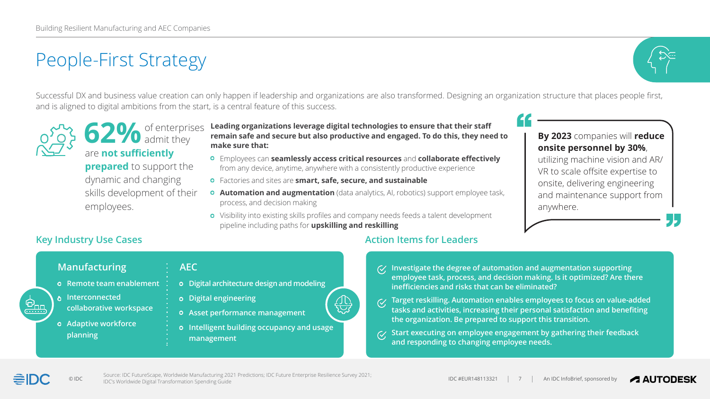# People-First Strategy

Successful DX and business value creation can only happen if leadership and organizations are also transformed. Designing an organization structure that places people first, and is aligned to digital ambitions from the start, is a central feature of this success.

 $\bigoplus_{\lambda\in\mathcal{J}}$ 



### **Leading organizations leverage digital technologies to ensure that their staff remain safe and secure but also productive and engaged. To do this, they need to make sure that:**

- Employees can **seamlessly access critical resources** and **collaborate effectively** from any device, anytime, anywhere with a consistently productive experience
- Factories and sites are **smart, safe, secure, and sustainable**
- **Automation and augmentation** (data analytics, AI, robotics) support employee task, process, and decision making
- Visibility into existing skills profiles and company needs feeds a talent development pipeline including paths for **upskilling and reskilling**

**62%** of enterprises are **not sufficiently** 

# **Key Industry Use Cases Action Items for Leaders**

# **Manufacturing AEC**

**prepared** to support the dynamic and changing skills development of their employees.

**By 2023** companies will **reduce onsite personnel by 30%**, utilizing machine vision and AR/ VR to scale offsite expertise to onsite, delivering engineering and maintenance support from anywhere.

- **• Remote team enablement**
- **• Interconnected collaborative workspace**
- **• Adaptive workforce planning**

- **• Digital architecture designand modeling**
- **• Digital engineering**
- **• Asset performance management**
- **• Intelligent building occupancy and usage management**

**Investigate the degree of automation and augmentation supporting employee task, process, and decision making. Is it optimized? Are there inefficiencies and risks that can be eliminated?**

- 
- 

**Target reskilling. Automation enables employees to focus on value-added tasks and activities, increasing their personal satisfaction and benefiting the organization. Be prepared to support this transition.**

**Start executing on employee engagement by gathering their feedback and responding to changing employee needs.**

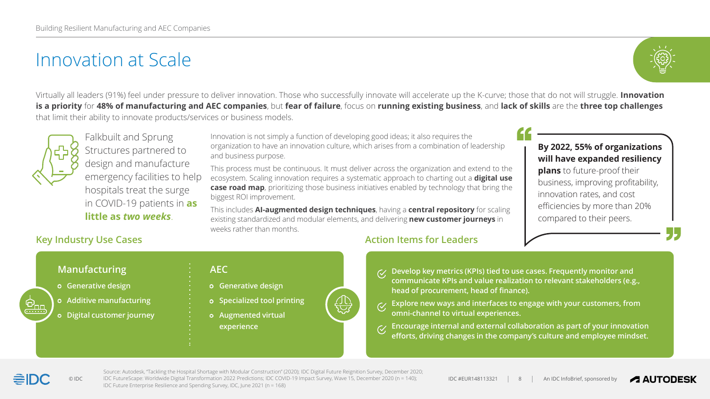# Innovation at Scale

Virtually all leaders (91%) feel under pressure to deliver innovation. Those who successfully innovate will accelerate up the K-curve; those that do not will struggle. **Innovation**  is a priority for 48% of manufacturing and AEC companies, but fear of failure, focus on running existing business, and lack of skills are the three top challenges that limit their ability to innovate products/services or business models.



Innovation is not simply a function of developing good ideas; it also requires the organization to have an innovation culture, which arises from a combination of leadership and business purpose.

This process must be continuous. It must deliver across the organization and extend to the ecosystem. Scaling innovation requires a systematic approach to charting out a **digital use case road map**, prioritizing those business initiatives enabled by technology that bring the biggest ROI improvement.

This includes **AI-augmented design techniques**, having a **central repository** for scaling existing standardized and modular elements, and delivering **new customer journeys** in weeks rather than months.

(丿し)<br>{ファ

## **Action Items for Leaders**

© IDC Munder Scape: Worldwide Digital Transformation 2022 Predictions; IDC COVID-19 Impact Survey, Wave 15, December 2020 (n = 140); Monder 2021 10C #EUR148113321 1 8 An IDC InfoBrief, sponsored by Source: Autodesk, "Tackling the Hospital Shortage with Modular Construction" (2020); IDC Digital Future Reignition Survey, December 2020; IDC Future Enterprise Resilience and Spending Survey, IDC, June 2021 (n = 168)



Falkbuilt and Sprung Structures partnered to design and manufacture emergency facilities to help hospitals treat the surge in COVID-19 patients in **as little as** *two weeks*.

# **Key Industry Use Cases**

## **Manufacturing 1. AEC**

**By 2022, 55% of organizations will have expanded resiliency** 

**plans** to future-proof their business, improving profitability, innovation rates, and cost efficiencies by more than 20% compared to their peers.

**Develop key metrics (KPIs) tied to use cases. Frequently monitor and communicate KPIs and value realization to relevant stakeholders (e.g., head of procurement, head of finance).**

**Explore new ways and interfaces to engage with your customers, from omni-channel to virtual experiences.**

**Encourage internal and external collaboration as part of your innovation efforts, driving changes in the company's culture and employee mindset.**



- **• Generative design**
- **• Additive manufacturing**
- **• Digital customer journey**

- **• Generative design**
- **• Specialized tool printing**
- **• Augmented virtual experience**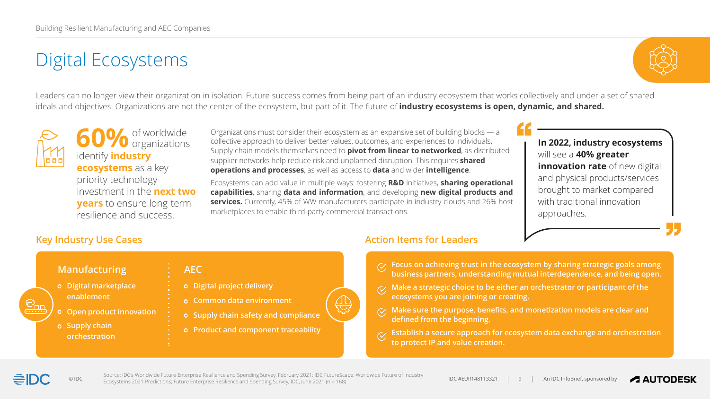# Digital Ecosystems

Leaders can no longer view their organization in isolation. Future success comes from being part of an industry ecosystem that works collectively and under a set of shared ideals and objectives. Organizations are not the center of the ecosystem, but part of it. The future of **industry ecosystems is open, dynamic, and shared.**



Organizations must consider their ecosystem as an expansive set of building blocks — a collective approach to deliver better values, outcomes, and experiences to individuals. Supply chain models themselves need to **pivot from linear to networked**, as distributed supplier networks help reduce risk and unplanned disruption. This requires **shared operations and processes**, as well as access to **data** and wider **intelligence**.

Ecosystems can add value in multiple ways: fostering **R&D** initiatives, **sharing operational capabilities**, sharing **data and information**, and developing **new digital products and services.** Currently, 45% of WW manufacturers participate in industry clouds and 26% host marketplaces to enable third-party commercial transactions.

**6** of worldwide **6** organizations identify **industry ecosystems** as a key priority technology investment in the **next two years** to ensure long-term resilience and success.

## **Key Industry Use Cases Action Items for Leaders**

© IDC Predictions; Future Enterprise Resilience and Spending Survey, IDC, June 2021 (n = 168) **IDC #EUR148113321** Predictions; Future Enterprise Resilience and Spending Survey, IDC, June 2021 (n = 168) Source: IDC's Worldwide Future Enterprise Resilience and Spending Survey, February 2021; IDC FutureScape: Worldwide Future of Industry



**In 2022, industry ecosystems**  will see a **40% greater innovation rate** of new digital and physical products/services brought to market compared with traditional innovation approaches.

**Focus on achieving trust in the ecosystem by sharing strategic goals among business partners, understanding mutual interdependence, and being open.**

**Make a strategic choice to be either an orchestrator or participant of the ecosystems you are joining or creating.**

**Make sure the purpose, benefits, and monetization models are clear and defined from the beginning.**

**Establish a secure approach for ecosystem data exchange and orchestration to protect IP and value creation.**



- **• Digital marketplace enablement**
- **• Open product innovation**
- **• Supply chain orchestration**

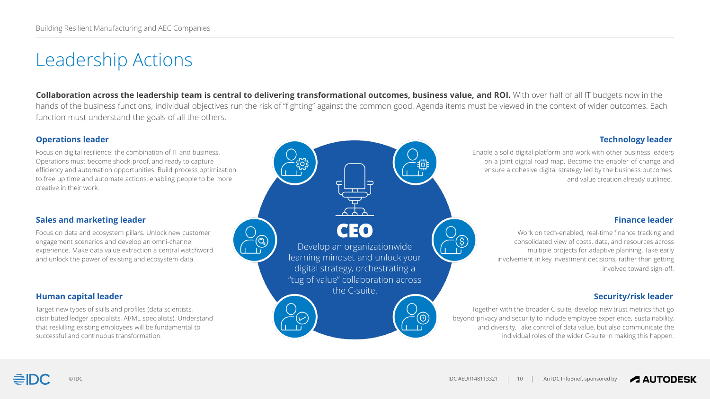# Leadership Actions

## Collaboration across the leadership team is central to delivering transformational outcomes, business value, and ROI. With over half of all IT budgets now in the

hands of the business functions, individual objectives run the risk of "fighting" against the common good. Agenda items must be viewed in the context of wider outcomes. Each function must understand the goals of all the others.

## **Operations leader**

Focus on digital resilience: the combination of IT and business. Operations must become shock-proof, and ready to capture efficiency and automation opportunities. Build process optimization to free up time and automate actions, enabling people to be more creative in their work.

## **Sales and marketing leader**

Focus on data and ecosystem pillars. Unlock new customer engagement scenarios and develop an omni-channel experience. Make data value extraction a central watchword and unlock the power of existing and ecosystem data.

## **Technology leader** Enable a solid digital platform and work with other business leaders on a joint digital road map. Become the enabler of change and ensure a cohesive digital strategy led by the business outcomes and value creation already outlined. **Finance leader** Work on tech-enabled, real-time finance tracking and consolidated view of costs, data, and resources across multiple projects for adaptive planning. Take early involvement in key investment decisions, rather than getting involved toward sign-off. **Security/risk leader** Together with the broader C-suite, develop new trust metrics that go beyond privacy and security to include employee experience, sustainability, and diversity. Take control of data value, but also communicate the individual roles of the wider C-suite in making this happen.



## **Human capital leader**

Target new types of skills and profiles (data scientists, distributed ledger specialists, AI/ML specialists). Understand that reskilling existing employees will be fundamental to successful and continuous transformation.

**CEO** Develop an organizationwide learning mindset and unlock your digital strategy, orchestrating a "tug of value" collaboration across the C-suite.